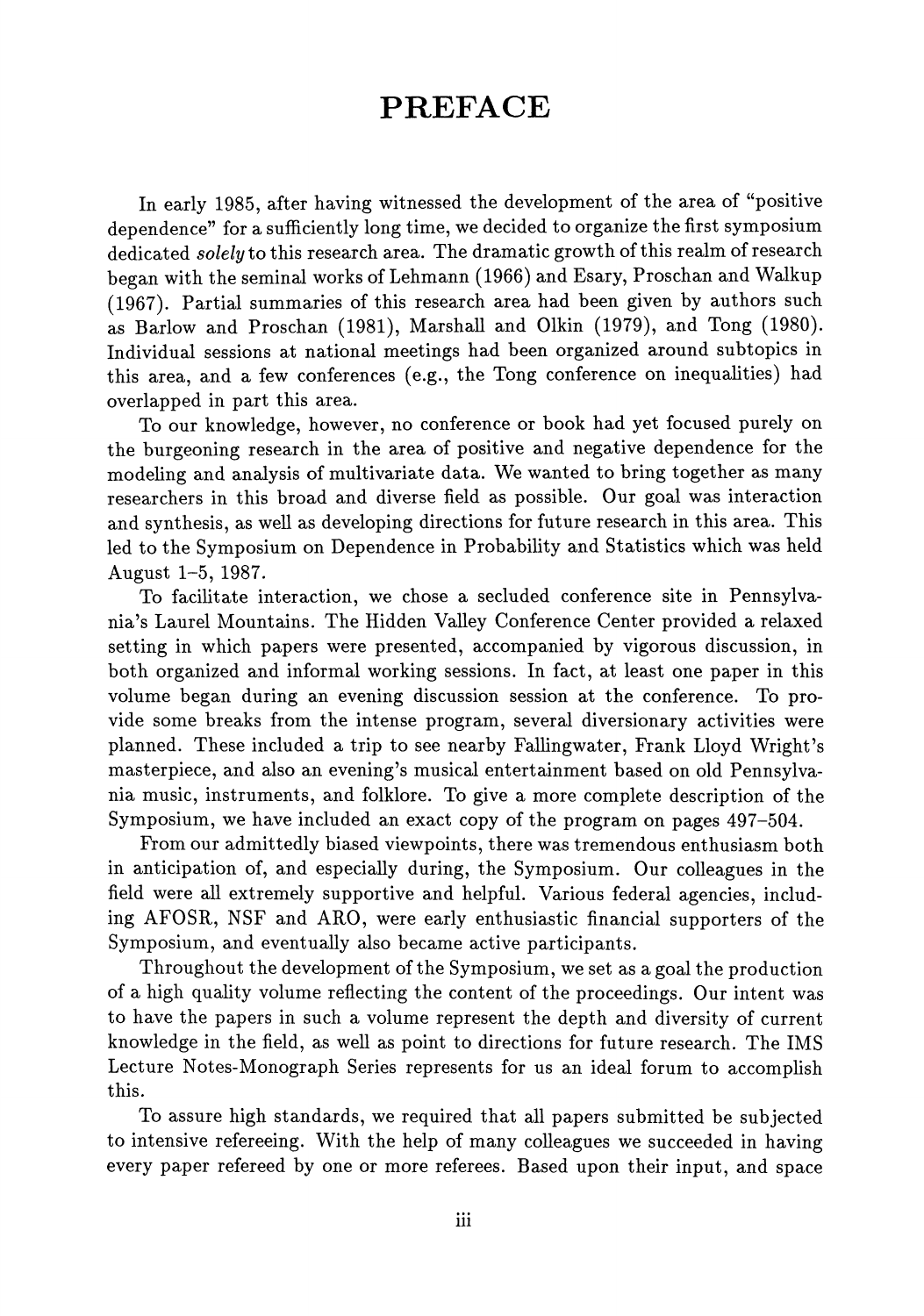## PREFACE

In early 1985, after having witnessed the development of the area of "positive dependence" for a sufficiently long time, we decided to organize the first symposium dedicated *solely* to this research area. The dramatic growth of this realm of research began with the seminal works of Lehmann (1966) and Esary, Proschan and Walkup (1967). Partial summaries of this research area had been given by authors such as Barlow and Proschan (1981), Marshall and Olkin (1979), and Tong (1980). Individual sessions at national meetings had been organized around subtopics in this area, and a few conferences (e.g., the Tong conference on inequalities) had overlapped in part this area.

To our knowledge, however, no conference or book had yet focused purely on the burgeoning research in the area of positive and negative dependence for the modeling and analysis of multivariate data. We wanted to bring together as many researchers in this broad and diverse field as possible. Our goal was interaction and synthesis, as well as developing directions for future research in this area. This led to the Symposium on Dependence in Probability and Statistics which was held August 1-5, 1987.

To facilitate interaction, we chose a secluded conference site in Pennsylvania's Laurel Mountains. The Hidden Valley Conference Center provided a relaxed setting in which papers were presented, accompanied by vigorous discussion, in both organized and informal working sessions. In fact, at least one paper in this volume began during an evening discussion session at the conference. To provide some breaks from the intense program, several diversionary activities were planned. These included a trip to see nearby Fallingwater, Frank Lloyd Wright's masterpiece, and also an evening's musical entertainment based on old Pennsylvania music, instruments, and folklore. To give a more complete description of the Symposium, we have included an exact copy of the program on pages 497-504.

From our admittedly biased viewpoints, there was tremendous enthusiasm both in anticipation of, and especially during, the Symposium. Our colleagues in the field were all extremely supportive and helpful. Various federal agencies, including AFOSR, NSF and ARO, were early enthusiastic financial supporters of the Symposium, and eventually also became active participants.

Throughout the development of the Symposium, we set as a goal the production of a high quality volume reflecting the content of the proceedings. Our intent was to have the papers in such a volume represent the depth and diversity of current knowledge in the field, as well as point to directions for future research. The IMS Lecture Notes-Monograph Series represents for us an ideal forum to accomplish this.

To assure high standards, we required that all papers submitted be subjected to intensive refereeing. With the help of many colleagues we succeeded in having every paper refereed by one or more referees. Based upon their input, and space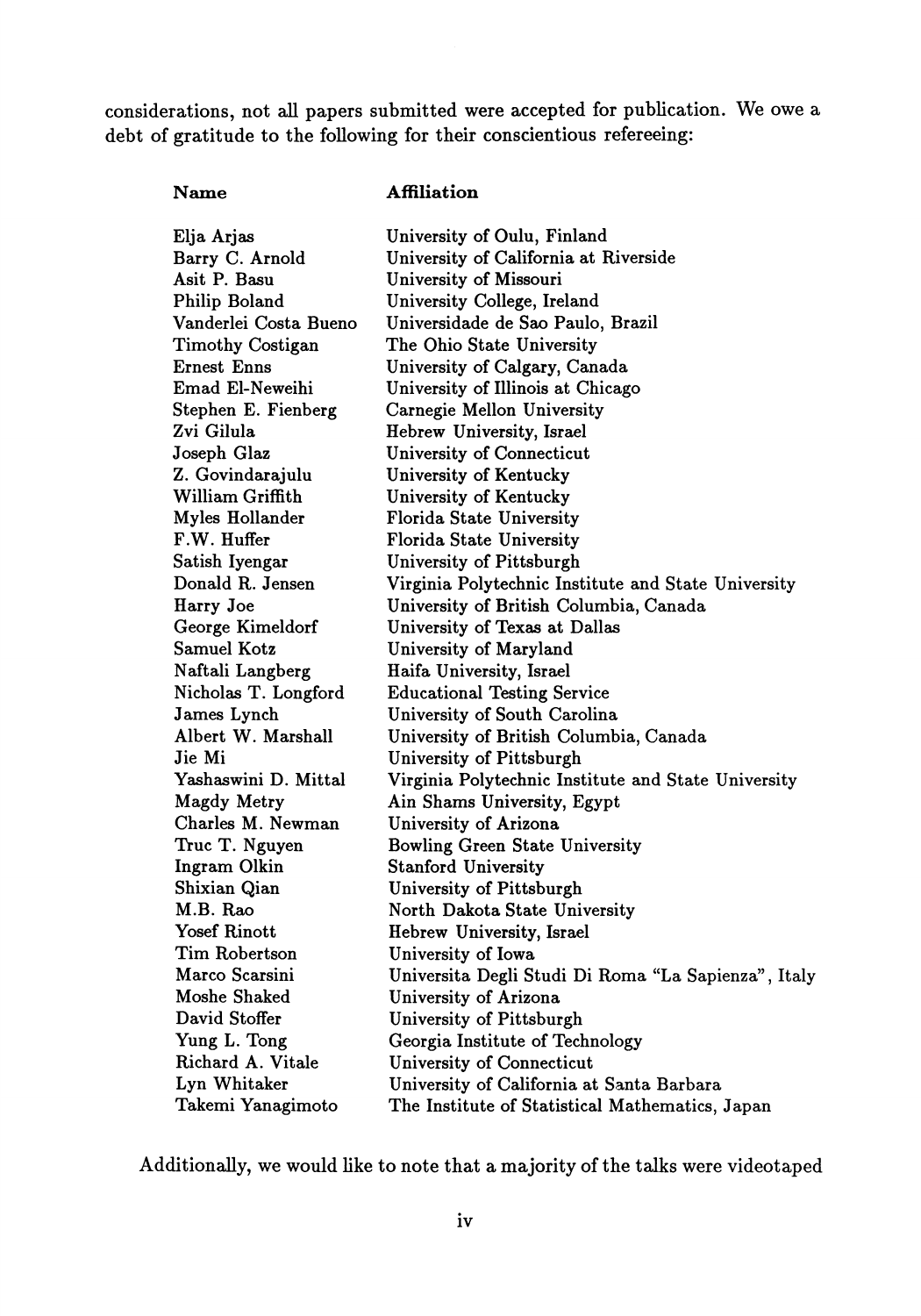considerations, not all papers submitted were accepted for publication. We owe a debt of gratitude to the following for their conscientious refereeing:

## Name

## **Affiliation**

| Elja Arjas            | University of Oulu, Finland                         |
|-----------------------|-----------------------------------------------------|
| Barry C. Arnold       | University of California at Riverside               |
| Asit P. Basu          | University of Missouri                              |
| Philip Boland         | University College, Ireland                         |
| Vanderlei Costa Bueno | Universidade de Sao Paulo, Brazil                   |
| Timothy Costigan      | The Ohio State University                           |
| Ernest Enns           | University of Calgary, Canada                       |
| Emad El-Neweihi       | University of Illinois at Chicago                   |
| Stephen E. Fienberg   | Carnegie Mellon University                          |
| Zvi Gilula            | Hebrew University, Israel                           |
| Joseph Glaz           | University of Connecticut                           |
| Z. Govindarajulu      | University of Kentucky                              |
| William Griffith      | University of Kentucky                              |
| Myles Hollander       | Florida State University                            |
| F.W. Huffer           | Florida State University                            |
| Satish Iyengar        | University of Pittsburgh                            |
| Donald R. Jensen      | Virginia Polytechnic Institute and State University |
| Harry Joe             | University of British Columbia, Canada              |
| George Kimeldorf      | University of Texas at Dallas                       |
| Samuel Kotz           | University of Maryland                              |
| Naftali Langberg      | Haifa University, Israel                            |
| Nicholas T. Longford  | <b>Educational Testing Service</b>                  |
| James Lynch           | University of South Carolina                        |
| Albert W. Marshall    | University of British Columbia, Canada              |
| Jie Mi                | University of Pittsburgh                            |
| Yashaswini D. Mittal  | Virginia Polytechnic Institute and State University |
| <b>Magdy Metry</b>    | Ain Shams University, Egypt                         |
| Charles M. Newman     | University of Arizona                               |
| Truc T. Nguyen        | <b>Bowling Green State University</b>               |
| Ingram Olkin          | <b>Stanford University</b>                          |
| Shixian Qian          | University of Pittsburgh                            |
| M.B. Rao              | North Dakota State University                       |
| Yosef Rinott          | Hebrew University, Israel                           |
| Tim Robertson         | University of Iowa                                  |
| Marco Scarsini        | Universita Degli Studi Di Roma "La Sapienza", Italy |
| Moshe Shaked          | University of Arizona                               |
| David Stoffer         | University of Pittsburgh                            |
| Yung L. Tong          | Georgia Institute of Technology                     |
| Richard A. Vitale     | University of Connecticut                           |
| Lyn Whitaker          | University of California at Santa Barbara           |
| Takemi Yanagimoto     | The Institute of Statistical Mathematics, Japan     |

Additionally, we would like to note that a majority of the talks were videotaped